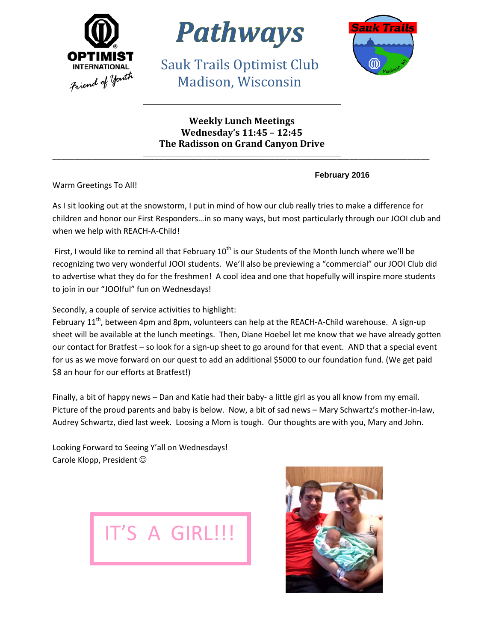



Sauk Trails Optimist Club Madison, Wisconsin



**Weekly Lunch Meetings Wednesday's 11:45 – 12:45 The Radisson on Grand Canyon Drive**

\_\_\_\_\_\_\_\_\_\_\_\_\_\_\_\_\_\_\_\_\_\_\_\_\_\_\_\_\_\_\_\_\_\_\_\_\_\_\_\_\_\_\_\_\_\_\_\_\_\_\_\_\_\_\_\_\_\_\_\_\_\_\_\_\_\_\_\_\_\_\_\_\_\_\_\_\_\_\_\_\_\_\_\_\_

**February 2016**

Warm Greetings To All!

As I sit looking out at the snowstorm, I put in mind of how our club really tries to make a difference for children and honor our First Responders…in so many ways, but most particularly through our JOOI club and when we help with REACH-A-Child!

First, I would like to remind all that February  $10^{th}$  is our Students of the Month lunch where we'll be recognizing two very wonderful JOOI students. We'll also be previewing a "commercial" our JOOI Club did to advertise what they do for the freshmen! A cool idea and one that hopefully will inspire more students to join in our "JOOIful" fun on Wednesdays!

Secondly, a couple of service activities to highlight:

February  $11<sup>th</sup>$ , between 4pm and 8pm, volunteers can help at the REACH-A-Child warehouse. A sign-up sheet will be available at the lunch meetings. Then, Diane Hoebel let me know that we have already gotten our contact for Bratfest – so look for a sign-up sheet to go around for that event. AND that a special event for us as we move forward on our quest to add an additional \$5000 to our foundation fund. (We get paid \$8 an hour for our efforts at Bratfest!)

Finally, a bit of happy news – Dan and Katie had their baby- a little girl as you all know from my email. Picture of the proud parents and baby is below. Now, a bit of sad news – Mary Schwartz's mother-in-law, Audrey Schwartz, died last week. Loosing a Mom is tough. Our thoughts are with you, Mary and John.

Looking Forward to Seeing Y'all on Wednesdays! Carole Klopp, President



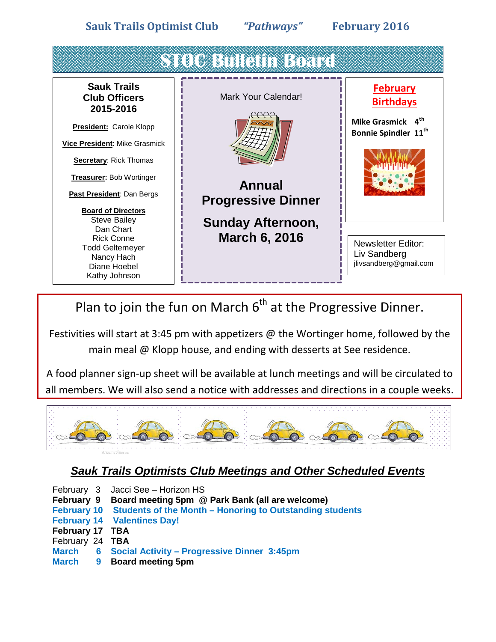**Sauk Trails Optimist Club** *"Pathways"* **February 2016**



Plan to join the fun on March  $6<sup>th</sup>$  at the Progressive Dinner.

Festivities will start at 3:45 pm with appetizers  $\omega$  the Wortinger home, followed by the main meal @ Klopp house, and ending with desserts at See residence.

A food planner sign-up sheet will be available at lunch meetings and will be circulated to all members. We will also send a notice with addresses and directions in a couple weeks.



## *Sauk Trails Optimists Club Meetings and Other Scheduled Events*

- February 3 Jacci See Horizon HS
- **February 9 Board meeting 5pm @ Park Bank (all are welcome)**
- **February 10 Students of the Month – Honoring to Outstanding students**
- **February 14 Valentines Day!**
- **February 17 TBA**
- February 24 **TBA**
- **March 6 Social Activity – Progressive Dinner 3:45pm**
- **March 9 Board meeting 5pm**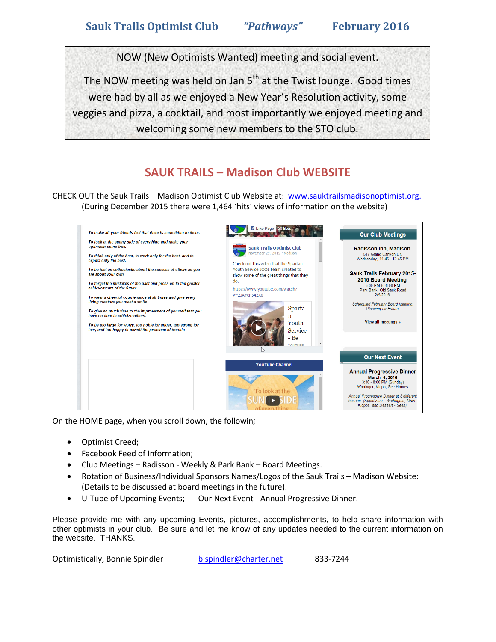NOW (New Optimists Wanted) meeting and social event.

The NOW meeting was held on Jan  $5<sup>th</sup>$  at the Twist lounge. Good times were had by all as we enjoyed a New Year's Resolution activity, some veggies and pizza, a cocktail, and most importantly we enjoyed meeting and welcoming some new members to the STO club.

## **SAUK TRAILS – Madison Club WEBSITE**

CHECK OUT the Sauk Trails – Madison Optimist Club Website at: [www.sauktrailsmadisonoptimist.org.](http://www.sauktrailsmadisonoptimist.org/) (During December 2015 there were 1,464 'hits' views of information on the website)



On the HOME page, when you scroll down, the following

- Optimist Creed;
- Facebook Feed of Information;
- Club Meetings Radisson Weekly & Park Bank Board Meetings.
- Rotation of Business/Individual Sponsors Names/Logos of the Sauk Trails Madison Website: (Details to be discussed at board meetings in the future).
- U-Tube of Upcoming Events; Our Next Event Annual Progressive Dinner.

Please provide me with any upcoming Events, pictures, accomplishments, to help share information with other optimists in your club. Be sure and let me know of any updates needed to the current information on the website. THANKS.

Optimistically, Bonnie Spindler [blspindler@charter.net](mailto:blspindler@charter.net) 833-7244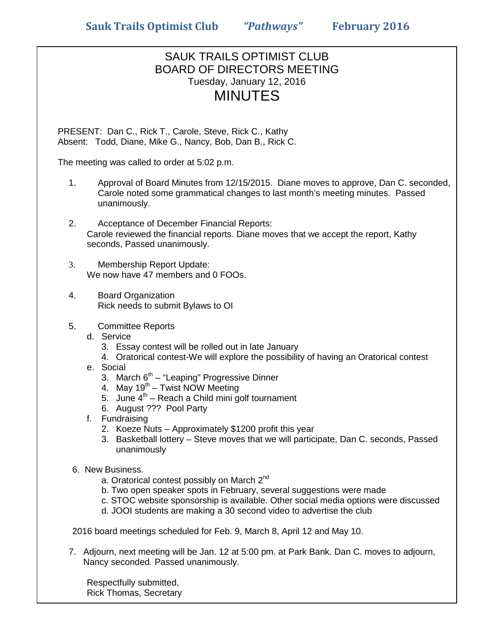## SAUK TRAILS OPTIMIST CLUB BOARD OF DIRECTORS MEETING Tuesday, January 12, 2016 MINUTES

PRESENT: Dan C., Rick T., Carole, Steve, Rick C., Kathy Absent: Todd, Diane, Mike G., Nancy, Bob, Dan B., Rick C.

The meeting was called to order at 5:02 p.m.

- 1. Approval of Board Minutes from 12/15/2015. Diane moves to approve, Dan C. seconded, Carole noted some grammatical changes to last month's meeting minutes. Passed unanimously.
- 2. Acceptance of December Financial Reports: Carole reviewed the financial reports. Diane moves that we accept the report, Kathy seconds, Passed unanimously.
- 3. Membership Report Update: We now have 47 members and 0 FOOs.
- 4. Board Organization Rick needs to submit Bylaws to OI
- 5. Committee Reports
	- d. Service
		- 3. Essay contest will be rolled out in late January
		- 4. Oratorical contest-We will explore the possibility of having an Oratorical contest
	- e. Social
		- 3. March  $6<sup>th</sup> "Leaping" Progressive Dinner$
		- 4. May  $19^{th}$  Twist NOW Meeting
		- 5. June  $4^{th}$  Reach a Child mini golf tournament
		- 6. August ??? Pool Party
	- f. Fundraising
		- 2. Koeze Nuts Approximately \$1200 profit this year
		- 3. Basketball lottery Steve moves that we will participate, Dan C. seconds, Passed unanimously
- 6. New Business.
	- a. Oratorical contest possibly on March 2<sup>nd</sup>
	- b. Two open speaker spots in February, several suggestions were made
	- c. STOC website sponsorship is available. Other social media options were discussed
	- d. JOOI students are making a 30 second video to advertise the club

2016 board meetings scheduled for Feb. 9, March 8, April 12 and May 10.

7. Adjourn, next meeting will be Jan. 12 at 5:00 pm. at Park Bank. Dan C. moves to adjourn, Nancy seconded*.* Passed unanimously.

Respectfully submitted, Rick Thomas, Secretary